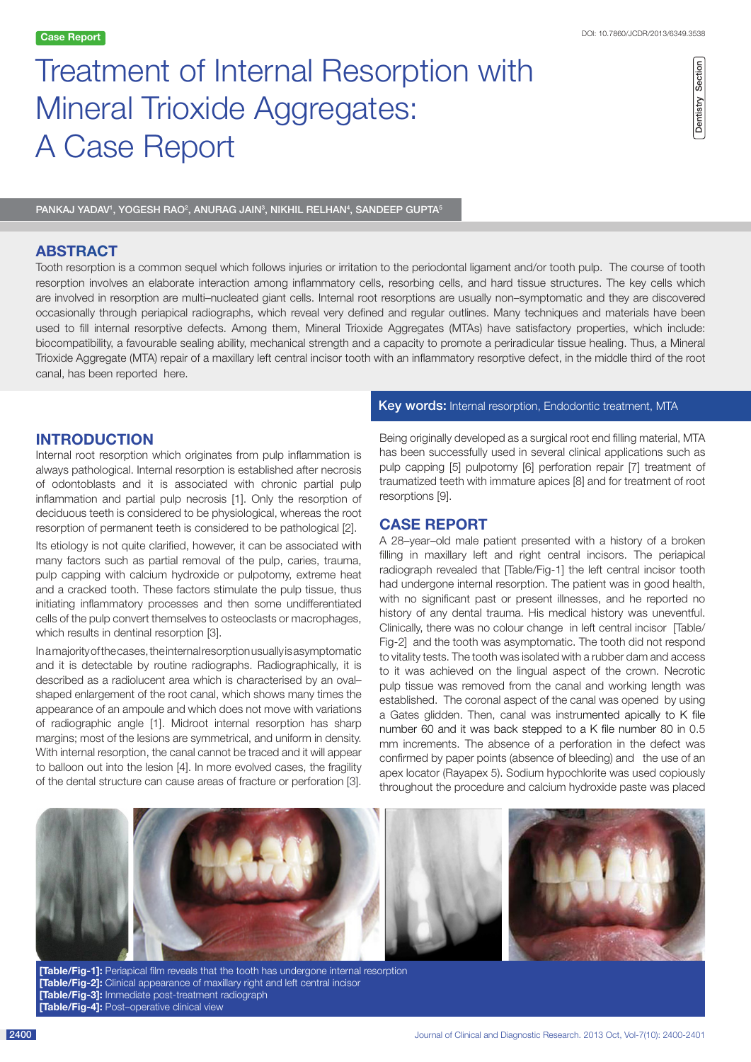# Treatment of Internal Resorption with Mineral Trioxide Aggregates: A Case Report

Dentistry Section Dentistry Section

PANKAJ YADAV', YOGESH RAO<sup>2</sup>, ANURAG JAIN<sup>3</sup>, NIKHIL RELHAN<sup>4</sup>, SANDEEP GUPTA<sup>5</sup>

## **ABSTRACT**

Tooth resorption is a common sequel which follows injuries or irritation to the periodontal ligament and/or tooth pulp. The course of tooth resorption involves an elaborate interaction among inflammatory cells, resorbing cells, and hard tissue structures. The key cells which are involved in resorption are multi–nucleated giant cells. Internal root resorptions are usually non–symptomatic and they are discovered occasionally through periapical radiographs, which reveal very defined and regular outlines. Many techniques and materials have been used to fill internal resorptive defects. Among them, Mineral Trioxide Aggregates (MTAs) have satisfactory properties, which include: biocompatibility, a favourable sealing ability, mechanical strength and a capacity to promote a periradicular tissue healing. Thus, a Mineral Trioxide Aggregate (MTA) repair of a maxillary left central incisor tooth with an inflammatory resorptive defect, in the middle third of the root canal, has been reported here.

## **Introduction**

Internal root resorption which originates from pulp inflammation is always pathological. Internal resorption is established after necrosis of odontoblasts and it is associated with chronic partial pulp inflammation and partial pulp necrosis [1]. Only the resorption of deciduous teeth is considered to be physiological, whereas the root resorption of permanent teeth is considered to be pathological [2].

Its etiology is not quite clarified, however, it can be associated with many factors such as partial removal of the pulp, caries, trauma, pulp capping with calcium hydroxide or pulpotomy, extreme heat and a cracked tooth. These factors stimulate the pulp tissue, thus initiating inflammatory processes and then some undifferentiated cells of the pulp convert themselves to osteoclasts or macrophages, which results in dentinal resorption [3].

In a majority of the cases, the internal resorption usually is asymptomatic and it is detectable by routine radiographs. Radiographically, it is described as a radiolucent area which is characterised by an oval– shaped enlargement of the root canal, which shows many times the appearance of an ampoule and which does not move with variations of radiographic angle [1]. Midroot internal resorption has sharp margins; most of the lesions are symmetrical, and uniform in density. With internal resorption, the canal cannot be traced and it will appear to balloon out into the lesion [4]. In more evolved cases, the fragility of the dental structure can cause areas of fracture or perforation [3].

#### Key words: Internal resorption, Endodontic treatment, MTA

Being originally developed as a surgical root end filling material, MTA has been successfully used in several clinical applications such as pulp capping [5] pulpotomy [6] perforation repair [7] treatment of traumatized teeth with immature apices [8] and for treatment of root resorptions [9].

## **Case report**

A 28–year–old male patient presented with a history of a broken filling in maxillary left and right central incisors. The periapical radiograph revealed that [Table/Fig-1] the left central incisor tooth had undergone internal resorption. The patient was in good health, with no significant past or present illnesses, and he reported no history of any dental trauma. His medical history was uneventful. Clinically, there was no colour change in left central incisor [Table/ Fig-2] and the tooth was asymptomatic. The tooth did not respond to vitality tests. The tooth was isolated with a rubber dam and access to it was achieved on the lingual aspect of the crown. Necrotic pulp tissue was removed from the canal and working length was established. The coronal aspect of the canal was opened by using a Gates glidden. Then, canal was instrumented apically to K file number 60 and it was back stepped to a K file number 80 in 0.5 mm increments. The absence of a perforation in the defect was confirmed by paper points (absence of bleeding) and the use of an apex locator (Rayapex 5). Sodium hypochlorite was used copiously throughout the procedure and calcium hydroxide paste was placed



**[Table/Fig-1]:** Periapical film reveals that the tooth has undergone internal resorption **[Table/Fig-2]:** Clinical appearance of maxillary right and left central incisor **[Table/Fig-3]:** Immediate post-treatment radiograph **[Table/Fig-4]:** Post–operative clinical view